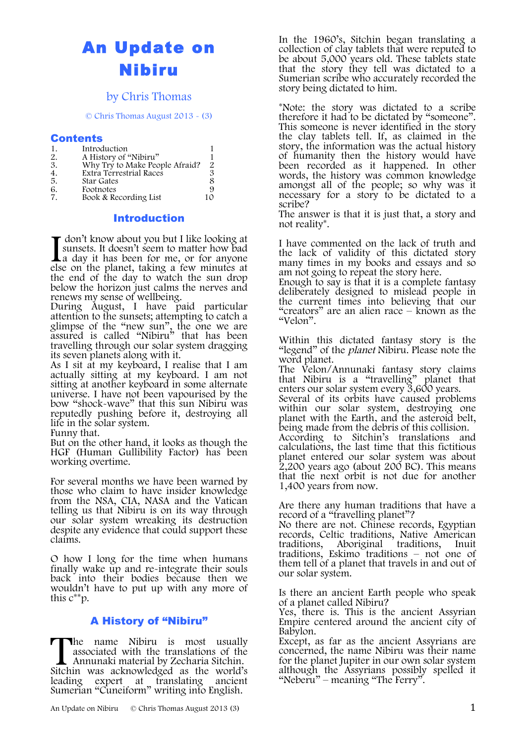# An Update on Nibiru

### by Chris Thomas

© Chris Thomas August 2013 - (3)

#### Contents

| 1.               | Introduction                   |      |
|------------------|--------------------------------|------|
| 2.               | A History of "Nibiru"          |      |
| 3.               | Why Try to Make People Afraid? | 2    |
| $\overline{4}$ . | Extra Terrestrial Races        | З    |
| 5.               | <b>Star Gates</b>              | 8    |
| 6.               | Footnotes                      | 9    |
| $\overline{7}$   | Book & Recording List          | 1 () |

#### Introduction

don't know about you but I like looking at sunsets. It doesn't seem to matter how bad else on the planet, taking a few minutes at the end of the day to watch the sun drop below the horizon just calms the nerves and renews my sense of wellbeing.  $\blacktriangle$  a day it has been for me, or for anyone

During August, I have paid particular attention to the sunsets; attempting to catch a glimpse of the "new sun", the one we are assured is called "Nibiru" that has been travelling through our solar system dragging its seven planets along with it.

As I sit at my keyboard, I realise that I am actually sitting at my keyboard. I am not sitting at another keyboard in some alternate universe. I have not been vapourised by the bow "shock-wave" that this sun Nibiru was reputedly pushing before it, destroying all life in the solar system.

Funny that.

But on the other hand, it looks as though the HGF (Human Gullibility Factor) has been working overtime.

For several months we have been warned by those who claim to have insider knowledge from the NSA, CIA, NASA and the Vatican telling us that Nibiru is on its way through our solar system wreaking its destruction despite any evidence that could support these claims.

O how I long for the time when humans finally wake up and re-integrate their souls back into their bodies because then we wouldn't have to put up with any more of this  $c^{**}v$ .

### A History of "Nibiru"

he name Nibiru is most usually associated with the translations of the Annunaki material by Zecharia Sitchin. The name Nibiru is most usually associated with the translations of the Annunaki material by Zecharia Sitchin.<br>Sitchin was acknowledged as the world's leading expert at translating ancient Sumerian "Cuneiform" writing into English.

In the 1960's, Sitchin began translating a collection of clay tablets that were reputed to be about 5,000 years old. These tablets state that the story they tell was dictated to a Sumerian scribe who accurately recorded the story being dictated to him.

\*Note: the story was dictated to a scribe therefore it had to be dictated by "someone". This someone is never identified in the story the clay tablets tell. If, as claimed in the story, the information was the actual history of humanity then the history would have been recorded as it happened. In other words, the history was common knowledge amongst all of the people; so why was it necessary for a story to be dictated to a scribe?

The answer is that it is just that, a story and not reality\*.

I have commented on the lack of truth and the lack of validity of this dictated story many times in my books and essays and so am not going to repeat the story here.

Enough to say is that it is a complete fantasy deliberately designed to mislead people in the current times into believing that our "creators" are an alien race – known as the "Velon".

Within this dictated fantasy story is the "legend" of the *planet* Nibiru. Please note the word planet.

The Velon/Annunaki fantasy story claims that Nibiru is a "travelling" planet that enters our solar system every 3,600 years. Several of its orbits have caused problems within our solar system, destroying one planet with the Earth, and the asteroid belt, being made from the debris of this collision. According to Sitchin's translations and calculations, the last time that this fictitious planet entered our solar system was about 2,200 years ago (about 200 BC). This means that the next orbit is not due for another 1,400 years from now.

Are there any human traditions that have a record of a "travelling planet"?

No there are not. Chinese records, Egyptian records, Celtic traditions, Native American traditions, Aboriginal traditions, Inuit traditions, Eskimo traditions – not one of them tell of a planet that travels in and out of our solar system.

Is there an ancient Earth people who speak of a planet called Nibiru?

Yes, there is. This is the ancient Assyrian Empire centered around the ancient city of Babylon.

Except, as far as the ancient Assyrians are concerned, the name Nibiru was their name for the planet Jupiter in our own solar system although the Assyrians possibly spelled it "Neberu" – meaning "The Ferry".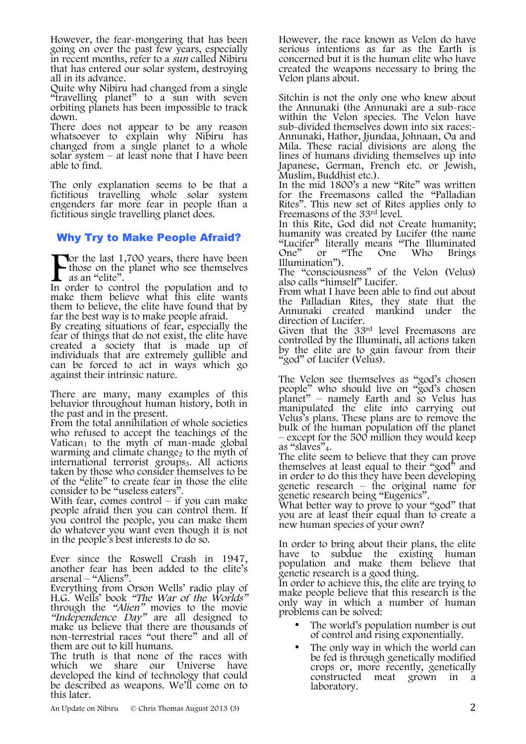However, the fear-mongering that has been going on over the past few years, especially in recent months, refer to a sun called Nibiru that has entered our solar system, destroying all in its advance.

Quite why Nibiru had changed from a single "travelling planet" to a sun with seven orbiting planets has been impossible to track down.

There does not appear to be any reason whatsoever to explain why Nibiru has changed from a single planet to a whole solar system – at least none that I have been able to find.

The only explanation seems to be that a fictitious travelling whole solar system engenders far more fear in people than a fictitious single travelling planet does.

### Why Try to Make People Afraid?

**The last 1,700 years, there have been** those on the planet who see themselves as an "elite". F<sub>In c</sub>

In order to control the population and to make them believe what this elite wants them to believe, the elite have found that by far the best way is to make people afraid.

By creating situations of fear, especially the fear of things that do not exist, the elite have created a society that is made up of individuals that are extremely gullible and can be forced to act in ways which go against their intrinsic nature.

There are many, many examples of this behavior throughout human history, both in the past and in the present.

From the total annihilation of whole societies who refused to accept the teachings of the Vatican<sub>1</sub> to the myth of man-made global warming and climate change<sub>2</sub> to the myth of international terrorist groups3. All actions taken by those who consider themselves to be of the "elite" to create fear in those the elite consider to be "useless eaters".

With fear, comes control – if you can make people afraid then you can control them. If you control the people, you can make them do whatever you want even though it is not in the people's best interests to do so.

Ever since the Roswell Crash in 1947, another fear has been added to the elite's

Everything from Orson Wells' radio play of H.G. Wells' book "The War of the Worlds" through the "Alien" movies to the movie "Independence Day" are all designed to make us believe that there are thousands of non-terrestrial races "out there" and all of them are out to kill humans.

The truth is that none of the races with which we share our Universe have developed the kind of technology that could be described as weapons. We'll come on to this later.

An Update on Nibiru © Chris Thomas August 2013 (3) 2

However, the race known as Velon do have serious intentions as far as the Earth is concerned but it is the human elite who have created the weapons necessary to bring the Velon plans about.

Sitchin is not the only one who knew about the Annunaki (the Annunaki are a sub-race within the Velon species. The Velon have sub-divided themselves down into six races:- Annunaki, Hathor, Jjundaa, Johnaan, Oa and Mila. These racial divisions are along the lines of humans dividing themselves up into Japanese, German, French etc. or Jewish, Muslim, Buddhist etc.).

In the mid 1800's a new "Rite" was written for the Freemasons called the "Palladian Rites". This new set of Rites applies only to

Freemasons of the 33<sup>rd</sup> level.<br>In this Rite, God did not Create humanity; In this Rite, God did not Create humanity; humanity was created by Lucifer (the name "Lucifer" literally means "The Illuminated One" or "The One Who Brings Illumination").

The "consciousness" of the Velon (Velus) also calls "himself" Lucifer.

From what I have been able to find out about the Palladian Rites, they state that the Annunaki created mankind under the direction of Lucifer.

Given that the 33rd level Freemasons are controlled by the Illuminati, all actions taken by the elite are to gain favour from their "god" of Lucifer (Velus).

The Velon see themselves as "god's chosen people" who should live on "god's chosen planet" – namely Earth and so Velus has manipulated the elite into carrying out Velus's plans. These plans are to remove the bulk of the human population off the planet – except for the 500 million they would keep as "slaves" $_4$ .

as "slaves"4. The elite seem to believe that they can prove themselves at least equal to their "god" and<br>in order to do this they have been developing in order to do this they have been developing<br>genetic research – the original name for<br>genetic research being "Eugenics".

genetic research being "Eugenics". What better way to prove to your "god" that you are at least their equal than to create a new human species of your own?

In order to bring about their plans, the elite have to subdue the existing human population and make them believe that genetic research is a good thing.

In order to achieve this, the elite are trying to make people believe that this research is the only way in which a number of human problems can be solved:

- The world's population number is out of control and rising exponentially.
- The only way in which the world can be fed is through genetically modified crops or, more recently, genetically constructed meat grown in a laboratory.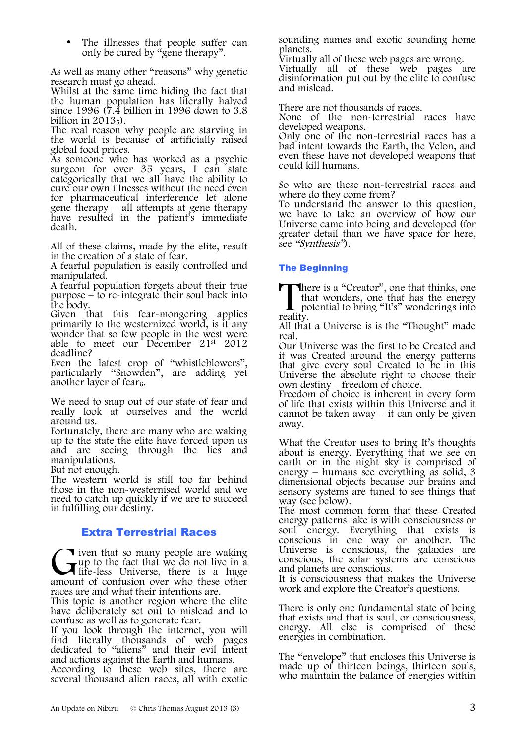The illnesses that people suffer can only be cured by "gene therapy".

As well as many other "reasons" why genetic research must go ahead.

Whilst at the same time hiding the fact that the human population has literally halved since 1996 ( $\bar{7}.\bar{4}$  billion in 1996 down to 3.8 billion in  $2013<sub>5</sub>$ ).

The real reason why people are starving in the world is because of artificially raised global food prices.

As someone who has worked as a psychic surgeon for over 35 years, I can state categorically that we all have the ability to cure our own illnesses without the need even for pharmaceutical interference let alone gene therapy – all attempts at gene therapy have resulted in the patient's immediate death.

All of these claims, made by the elite, result in the creation of a state of fear.

A fearful population is easily controlled and manipulated.

A fearful population forgets about their true purpose  $-\mathbf{t}\overline{\mathbf{o}}$  re-integrate their soul back into the body.

Given that this fear-mongering applies primarily to the westernized world, is it any wonder that so few people in the west were able to meet our December 21st 2012 deadline?

Even the latest crop of "whistleblowers", particularly "Snowden", are adding yet another layer of fear $_6$ .

We need to snap out of our state of fear and really look at ourselves and the world around us.

Fortunately, there are many who are waking up to the state the elite have forced upon us and are seeing through the lies and manipulations.

But not enough.

The western world is still too far behind those in the non-westernised world and we need to catch up quickly if we are to succeed in fulfilling our destiny.

### Extra Terrestrial Races

**T** iven that so many people are waking up to the fact that we do not live in a life-less Universe, there is a huge amount of confusion over who these other races are and what their intentions are. **G**<br>amour

This topic is another region where the elite have deliberately set out to mislead and to confuse as well as to generate fear.

If you look through the internet, you will find literally thousands of web pages dedicated to "aliens" and their evil intent and actions against the Earth and humans.

According to these web sites, there are several thousand alien races, all with exotic sounding names and exotic sounding home planets.

Virtually all of these web pages are wrong.

Virtually all of these web pages are disinformation put out by the elite to confuse and mislead.

There are not thousands of races.

None of the non-terrestrial races have developed weapons.

Only one of the non-terrestrial races has a bad intent towards the Earth, the Velon, and even these have not developed weapons that could kill humans.

So who are these non-terrestrial races and where do they come from?

To understand the answer to this question, we have to take an overview of how our Universe came into being and developed (for greater detail than we have space for here, see "Synthesis").

### The Beginning

here is a "Creator", one that thinks, one that wonders, one that has the energy There is a "Creator", one that thinks, one that wonders, one that has the energy potential to bring "It's" wonderings into reality.

All that a Universe is is the "Thought" made real.

Our Universe was the first to be Created and it was Created around the energy patterns that give every soul Created to be in this Universe the absolute right to choose their own destiny – freedom of choice.

Freedom of choice is inherent in every form of life that exists within this Universe and it cannot be taken away  $-$  it can only be given away.

What the Creator uses to bring It's thoughts about is energy. Everything that we see on earth or in the night sky is comprised of energy – humans see everything as solid, 3 dimensional objects because our brains and sensory systems are tuned to see things that way (see below).

The most common form that these Created energy patterns take is with consciousness or soul energy. Everything that exists is conscious in one way or another. The Universe is conscious, the galaxies are conscious, the solar systems are conscious and planets are conscious.

It is consciousness that makes the Universe work and explore the Creator's questions.

There is only one fundamental state of being that exists and that is soul, or consciousness, energy. All else is comprised of these energies in combination.

The "envelope" that encloses this Universe is made up of thirteen beings, thirteen souls, who maintain the balance of energies within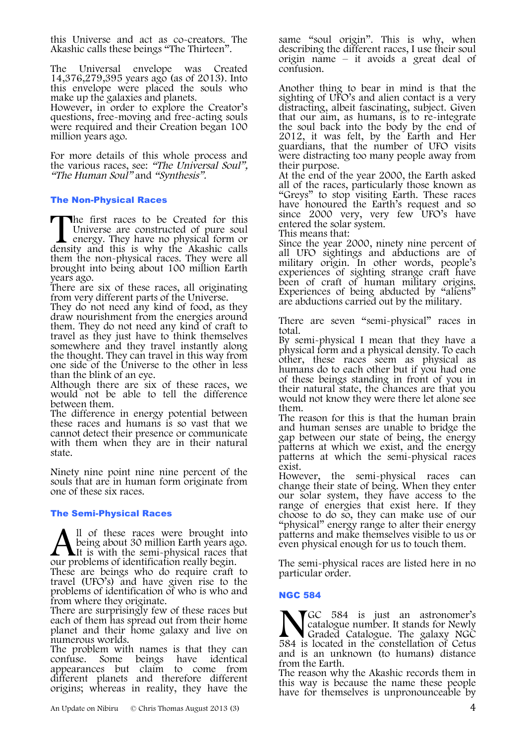this Universe and act as co-creators. The Akashic calls these beings "The Thirteen".

The Universal envelope was Created 14,376,279,395 years ago (as of 2013). Into this envelope were placed the souls who make up the galaxies and planets.

However, in order to explore the Creator's questions, free-moving and free-acting souls were required and their Creation began 100 million years ago.

For more details of this whole process and the various races, see: "The Universal Soul", "The Human Soul" and "Synthesis".

#### The Non-Physical Races

he first races to be Created for this Universe are constructed of pure soul energy. They have no physical form or The first races to be Created for this Universe are constructed of pure soul energy. They have no physical form or density and this is why the Akashic calls them the non-physical races. They were all brought into being about 100 million Earth years ago.

There are six of these races, all originating from very different parts of the Universe.

They do not need any kind of food, as they draw nourishment from the energies around them. They do not need any kind of craft to travel as they just have to think themselves somewhere and they travel instantly along the thought. They can travel in this way from one side of the Universe to the other in less than the blink of an eye.

Although there are six of these races, we would not be able to tell the difference between them.

The difference in energy potential between these races and humans is so vast that we cannot detect their presence or communicate with them when they are in their natural state.

Ninety nine point nine nine percent of the souls that are in human form originate from one of these six races.

#### The Semi-Physical Races

ll of these races were brought into being about 30 million Earth years ago.  $\blacksquare$ It is with the semi-physical races that our problems of identification really begin.

These are beings who do require craft to travel (UFO's) and have given rise to the problems of identification of who is who and from where they originate.

There are surprisingly few of these races but each of them has spread out from their home planet and their home galaxy and live on numerous worlds.

The problem with names is that they can confuse. Some beings have identical appearances but claim to come from different planets and therefore different origins; whereas in reality, they have the

same "soul origin". This is why, when describing the different races, I use their soul origin name – it avoids a great deal of confusion.

Another thing to bear in mind is that the sighting of UFO's and alien contact is a very distracting, albeit fascinating, subject. Given that our aim, as humans, is to re-integrate the soul back into the body by the end of 2012, it was felt, by the Earth and Her guardians, that the number of UFO visits were distracting too many people away from their purpose.

At the end of the year 2000, the Earth asked all of the races, particularly those known as "Greys" to stop visiting Earth. These races have honoured the Earth's request and so since 2000 very, very few UFO's have entered the solar system.

This means that:

Since the year 2000, ninety nine percent of all UFO sightings and abductions are of military origin. In other words, people's experiences of sighting strange craft have been of craft of human military origins. Experiences of being abducted by "aliens" are abductions carried out by the military.

There are seven "semi-physical" races in

total.<br>By semi-physical I mean that they have a physical form and a physical density. To each other, these races seem as physical as humans do to each other but if you had one of these beings standing in front of you in their natural state, the chances are that you would not know they were there let alone see them.

The reason for this is that the human brain and human senses are unable to bridge the gap between our state of being, the energy patterns at which we exist, and the energy patterns at which the semi-physical races exist.

However, the semi-physical races can change their state of being. When they enter our solar system, they have access to the range of energies that exist here. If they choose to do so, they can make use of our "physical" energy range to alter their energy patterns and make themselves visible to us or even physical enough for us to touch them.

The semi-physical races are listed here in no particular order.

#### NGC 584

GC 584 is just an astronomer's catalogue number. It stands for Newly Graded Catalogue. The galaxy NGC 584 is located in the constellation of Cetus and is an unknown (to humans) distance from the Earth.  $\sum_{584}$  is

The reason why the Akashic records them in this way is because the name these people have for themselves is unpronounceable by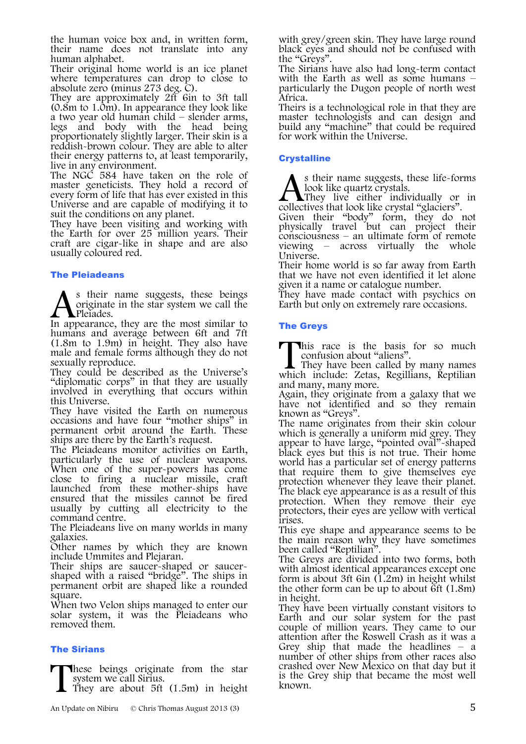the human voice box and, in written form, their name does not translate into any human alphabet.

Their original home world is an ice planet where temperatures can drop to close to absolute zero (minus 273 deg. C).

They are approximately 2ft 6in to 3ft tall (0.8m to 1.0m). In appearance they look like a two year old human child – slender arms, legs and body with the head being proportionately slightly larger. Their skin is a reddish-brown colour. They are able to alter their energy patterns to, at least temporarily, live in any environment.

The NGC 584 have taken on the role of master geneticists. They hold a record of every form of life that has ever existed in this Universe and are capable of modifying it to suit the conditions on any planet.

They have been visiting and working with the Earth for over 25 million years. Their craft are cigar-like in shape and are also usually coloured red.

#### The Pleiadeans

s their name suggests, these beings originate in the star system we call the Pleiades. As their name suggests, these beings<br>priginate in the star system we call the<br>In appearance, they are the most similar to

humans and average between 6ft and 7ft (1.8m to 1.9m) in height. They also have male and female forms although they do not sexually reproduce.

They could be described as the Universe's "diplomatic corps" in that they are usually involved in everything that occurs within this Universe.

They have visited the Earth on numerous occasions and have four "mother ships" in permanent orbit around the Earth. These ships are there by the Earth's request.

The Pleiadeans monitor activities on Earth, particularly the use of nuclear weapons. When one of the super-powers has come close to firing a nuclear missile, craft launched from these mother-ships have ensured that the missiles cannot be fired usually by cutting all electricity to the command centre.

The Pleiadeans live on many worlds in many galaxies.

Other names by which they are known include Ummites and Plejaran.

shaped with a raised "bridge". The ships in permanent orbit are shaped like a rounded square.

When two Velon ships managed to enter our solar system, it was the Pleiadeans who removed them.

#### The Sirians

hese beings originate from the star system we call Sirius. T

They are about 5ft (1.5m) in height

with grey/green skin. They have large round black eyes and should not be confused with the "Greys".

The Sirians have also had long-term contact particularly the Dugon people of north west Africa.

Theirs is a technological role in that they are master technologists and can design and build any "machine" that could be required for work within the Universe.

#### **Crystalline**

s their name suggests, these life-forms look like quartz crystals. A s their name suggests, these life-for<br>look like quartz crystals.<br>collectives that look like crystal "glaciers".

They live either individually or in

Given their "body" form, they do not physically travel but can project their consciousness – an ultimate form of remote viewing – across virtually the whole Universe.

Their home world is so far away from Earth that we have not even identified it let alone given it a name or catalogue number.

They have made contact with psychics on Earth but only on extremely rare occasions.

#### The Greys

This race is the basis for so much confusion about "aliens". This race is the basis for so much confusion about "aliens".<br>They have been called by many names which include: Zetas, Regillians, Reptilian

They have been called by many names and many, many more.

Again, they originate from a galaxy that we have not identified and so they remain known as "Greys".

The name originates from their skin colour<br>which is generally a uniform mid grey. They appear to have large, "pointed oval"-shaped black eyes but this is not true. Their home world has a particular set of energy patterns that require them to give themselves eye protection whenever they leave their planet. The black eye appearance is as a result of this protection. When they remove their eye protectors, their eyes are yellow with vertical irises.

This eye shape and appearance seems to be the main reason why they have sometimes been called "Reptilian".

The Greys are divided into two forms, both with almost identical appearances except one form is about 3ft 6in (1.2m) in height whilst the other form can be up to about  $\delta$ ft (1.8m) in height.

They have been virtually constant visitors to Earth and our solar system for the past couple of million years. They came to our attention after the Roswell Crash as it was a Grey ship that made the headlines – a number of other ships from other races also crashed over New Mexico on that day but it is the Grey ship that became the most well known.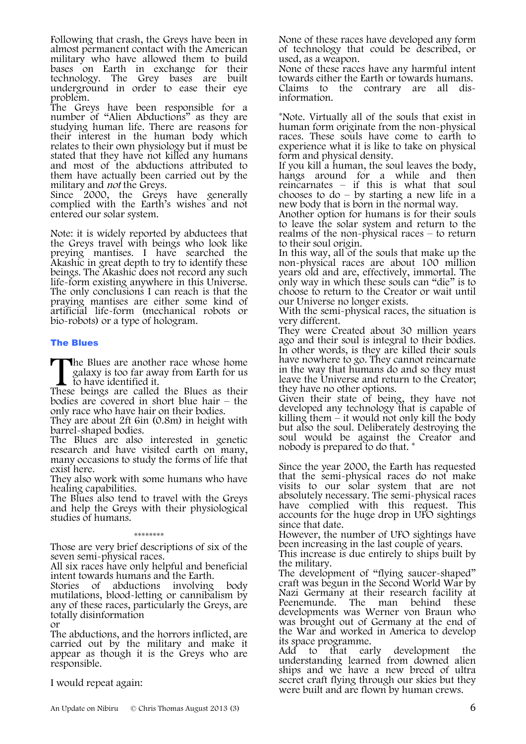Following that crash, the Greys have been in almost permanent contact with the American military who have allowed them to build bases on Earth in exchange for their technology. The Grey bases are built underground in order to ease their eye problem.

The Greys have been responsible for a number of "Alien Abductions" as they are studying human life. There are reasons for their interest in the human body which relates to their own physiology but it must be stated that they have not killed any humans and most of the abductions attributed to them have actually been carried out by the

military and *not* the Greys.<br>Since 2000, the Greys have generally complied with the Earth's wishes and not entered our solar system.

Note: it is widely reported by abductees that the Greys travel with beings who look like preying mantises. I have searched the Akashic in great depth to try to identify these beings. The Akashic does not record any such life-form existing anywhere in this Universe. The only conclusions I can reach is that the praying mantises are either some kind of artificial life-form (mechanical robots or bio-robots) or a type of hologram.

#### The Blues

The Blues are another race whose home galaxy is too far away from Earth for us to have identified it. The Blues are another race whose home galaxy is too far away from Earth for us to have identified it.<br>These beings are called the Blues as their

bodies are covered in short blue hair – the only race who have hair on their bodies.

They are about 2ft 6in (0.8m) in height with barrel-shaped bodies.

The Blues are also interested in genetic research and have visited earth on many, many occasions to study the forms of life that exist here.

They also work with some humans who have healing capabilities.

The Blues also tend to travel with the Grevs and help the Greys with their physiological studies of humans.

\*\*\*\*\*\*\*\*\*\*\*\*\*\*\*\*\* Those are very brief descriptions of six of the seven semi-physical races.

All six races have only helpful and beneficial

intent towards humans and the Earth.<br>Stories of abductions involving abductions involving body mutilations, blood-letting or cannibalism by any of these races, particularly the Greys, are totally disinformation

or

The abductions, and the horrors inflicted, are carried out by the military and make it appear as though it is the Greys who are responsible.

I would repeat again:

None of these races have developed any form of technology that could be described, or used, as a weapon.

None of these races have any harmful intent towards either the Earth or towards humans. Claims to the contrary are all dis- information.

\*Note. Virtually all of the souls that exist in human form originate from the non-physical races. These souls have come to earth to experience what it is like to take on physical form and physical density.

If you kill a human, the soul leaves the body, hangs around for a while and then reincarnates – if this is what that soul chooses to  $d\sigma - by$  starting a new life in a new body that is born in the normal way.

Another option for humans is for their souls to leave the solar system and return to the realms of the non-physical races – to return to their soul origin.

In this way, all of the souls that make up the non-physical races are about 100 million years old and are, effectively, immortal. The only way in which these souls can "die" is to choose to return to the Creator or wait until our Universe no longer exists.

With the semi-physical races, the situation is very different.

They were Created about 30 million years ago and their soul is integral to their bodies. In other words, is they are killed their souls have nowhere to go. They cannot reincarnate in the way that humans do and so they must leave the Universe and return to the Creator; they have no other options.

Given their state of being, they have not developed any technology that is capable of<br>killing them – it would not only kill the body but also the soul. Deliberately destroying the soul would be against the Creator and nobody is prepared to do that. \*

Since the year 2000, the Earth has requested that the semi-physical races do not make visits to our solar system that are not absolutely necessary. The semi-physical races have complied with this request. This accounts for the huge drop in UFO sightings since that date.

However, the number of UFO sightings have been increasing in the last couple of years.

This increase is due entirely to ships built by the military.

The development of "flying saucer-shaped" craft was begun in the Second World War by Nazi Germany at their research facility at<br>Peenemunde. The man behind these The man behind these developments was Werner von Braun who was brought out of Germany at the end of the War and worked in America to develop

its space programme.<br>Add to that ear that early development the understanding learned from downed alien ships and we have a new breed of ultra secret craft flying through our skies but they were built and are flown by human crews.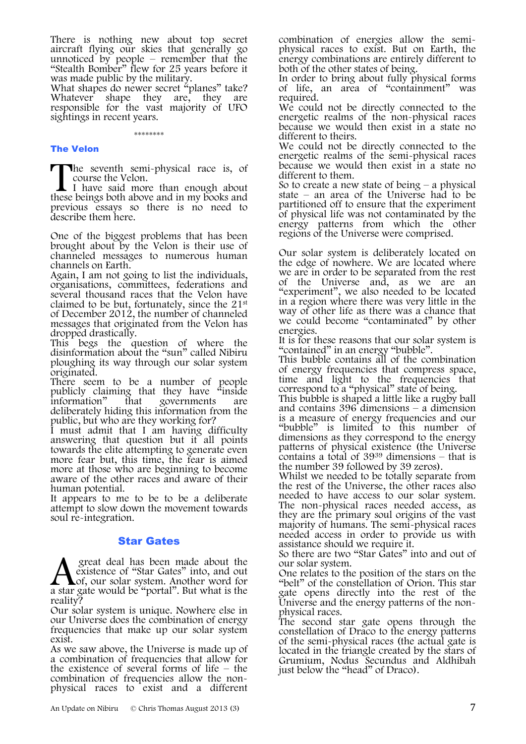There is nothing new about top secret aircraft flying our skies that generally go unnoticed by people – remember that the "Stealth Bomber" flew for 25 years before it was made public by the military.

What shapes do newer secret "planes" take? Whatever shape they are, they are responsible for the vast majority of UFO sightings in recent years.

\*\*\*\*\*\*\*\*

#### The Velon

The seventh semi-physical race is, of

course the Velon.<br>I have said more than enough about The seventh semi-physical race is, of course the Velon.<br>I have said more than enough about these beings both above and in my books and previous essays so there is no need to describe them here.

One of the biggest problems that has been brought about by the Velon is their use of channeled messages to numerous human channels on Earth.

Again, I am not going to list the individuals, organisations, committees, federations and several thousand races that the Velon have claimed to be but, fortunately, since the 21st of December 2012, the number of channeled messages that originated from the Velon has dropped drastically.

This begs the question of where the disinformation about the "sun" called Nibiru ploughing its way through our solar system originated.

There seem to be a number of people publicly claiming that they have "inside information" that governments are deliberately hiding this information from the public, but who are they working for?

I must admit that I am having difficulty answering that question but it all points towards the elite attempting to generate even more fear but, this time, the fear is aimed more at those who are beginning to become aware of the other races and aware of their human potential.

It appears to me to be to be a deliberate attempt to slow down the movement towards soul re-integration.

#### Star Gates

great deal has been made about the existence of "Star Gates" into, and out Lof, our solar system. Another word for **A** great deal has been made about the existence of "Star Gates" into, and out a star gate would be "portal". But what is the reality?

Our solar system is unique. Nowhere else in our Universe does the combination of energy frequencies that make up our solar system exist.

As we saw above, the Universe is made up of a combination of frequencies that allow for the existence of several forms of life – the combination of frequencies allow the nonphysical races to exist and a different combination of energies allow the semi- physical races to exist. But on Earth, the energy combinations are entirely different to both of the other states of being.

In order to bring about fully physical forms of life, an area of "containment" was required.

We could not be directly connected to the energetic realms of the non-physical races because we would then exist in a state no<br>different to theirs.

We could not be directly connected to the energetic realms of the semi-physical races because we would then exist in a state no different to them.

So to create a new state of being  $-$  a physical state – an area of the Universe had to be partitioned off to ensure that the experiment of physical life was not contaminated by the energy patterns from which the other regions of the Universe were comprised.

Our solar system is deliberately located on the edge of nowhere. We are located where we are in order to be separated from the rest of the Universe and, as we are an "experiment", we also needed to be located in a region where there was very little in the way of other life as there was a chance that we could become "contaminated" by other energies.

It is for these reasons that our solar system is "contained" in an energy "bubble".

This bubble contains all of the combination of energy frequencies that compress space, time and light to the frequencies that correspond to a "physical" state of being.

This bubble is shaped a little like a rugby ball and contains 396 dimensions – a dimension is a measure of energy frequencies and our "bubble" is limited to this number of dimensions as they correspond to the energy patterns of physical existence (the Universe contains a total of  $39^{39}$  dimensions – that is the number 39 followed by 39 zeros).

Whilst we needed to be totally separate from the rest of the Universe, the other races also needed to have access to our solar system. The non-physical races needed access, as they are the primary soul origins of the vast majority of humans. The semi-physical races needed access in order to provide us with assistance should we require it.

So there are two "Star Gates" into and out of our solar system.

One relates to the position of the stars on the "belt" of the constellation of Orion. This star gate opens directly into the rest of the Universe and the energy patterns of the non- physical races.

The second star gate opens through the constellation of Draco to the energy patterns of the semi-physical races (the actual gate is located in the triangle created by the stars of Grumium, Nodus Secundus and Aldhibah just below the "head" of Draco).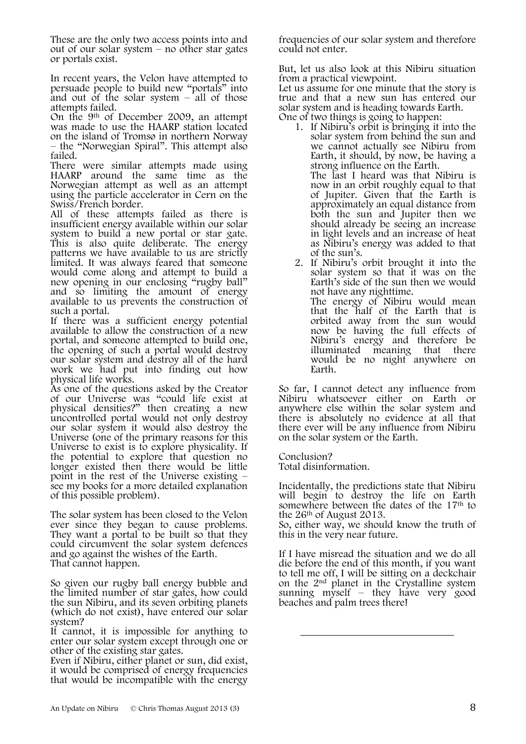These are the only two access points into and out of our solar system – no other star gates or portals exist.

In recent years, the Velon have attempted to persuade people to build new "portals" into and out of the solar system – all of those attempts failed.

On the 9th of December 2009, an attempt was made to use the HAARP station located on the island of Tromsø in northern Norway – the "Norwegian Spiral". This attempt also failed.

There were similar attempts made using HAARP around the same time as the Norwegian attempt as well as an attempt using the particle accelerator in Cern on the Swiss/French border.

All of these attempts failed as there is insufficient energy available within our solar system to build a new portal or star gate. This is also quite deliberate. The energy patterns we have available to us are strictly limited. It was always feared that someone would come along and attempt to build a new opening in our enclosing "rugby ball" and so limiting the amount of energy available to us prevents the construction of such a portal.

If there was a sufficient energy potential available to allow the construction of a new portal, and someone attempted to build one, the opening of such a portal would destroy our solar system and destroy all of the hard work we had put into finding out how physical life works.

As one of the questions asked by the Creator of our Universe was "could life exist at physical densities?" then creating a new uncontrolled portal would not only destroy our solar system it would also destroy the Universe (one of the primary reasons for this Universe to exist is to explore physicality. If the potential to explore that question no longer existed then there would be little point in the rest of the Universe existing – see my books for a more detailed explanation of this possible problem).

The solar system has been closed to the Velon ever since they began to cause problems. They want a portal to be built so that they could circumvent the solar system defences and go against the wishes of the Earth. That cannot happen.

So given our rugby ball energy bubble and the limited number of star gates, how could the sun Nibiru, and its seven orbiting planets (which do not exist), have entered our solar system?

It cannot, it is impossible for anything to enter our solar system except through one or other of the existing star gates.

Even if Nibiru, either planet or sun, did exist, it would be comprised of energy frequencies that would be incompatible with the energy frequencies of our solar system and therefore could not enter.

But, let us also look at this Nibiru situation from a practical viewpoint.

Let us assume for one minute that the story is true and that a new sun has entered our solar system and is heading towards Earth.

- One of two things is going to happen:
	- 1. If Nibiru's orbit is bringing it into the solar system from behind the sun and we cannot actually see Nibiru from Earth, it should, by now, be having a strong influence on the Earth. The last I heard was that Nibiru is now in an orbit roughly equal to that of Jupiter. Given that the Earth is approximately an equal distance from both the sun and Jupiter then we should already be seeing an increase in light levels and an increase of heat as Nibiru's energy was added to that of the sun's.
	- 2. If Nibiru's orbit brought it into the solar system so that it was on the Earth's side of the sun then we would not have any nighttime. The energy of Nibiru would mean that the half of the Earth that is orbited away from the sun would now be having the full effects of Nibiru's energy and therefore be illuminated meaning that there would be no night anywhere on Earth.

So far, I cannot detect any influence from Nibiru whatsoever either on Earth or anywhere else within the solar system and there is absolutely no evidence at all that there ever will be any influence from Nibiru on the solar system or the Earth.

Conclusion? Total disinformation.

Incidentally, the predictions state that Nibiru will begin to destroy the life on Earth somewhere between the dates of the 17<sup>th</sup> to the 26th of August 2013.

So, either way, we should know the truth of this in the very near future.

If I have misread the situation and we do all die before the end of this month, if you want to tell me off, I will be sitting on a deckchair on the  $2<sup>nd</sup>$  planet in the Crystalline system sunning myself – they have very good beaches and palm trees there!

\_\_\_\_\_\_\_\_\_\_\_\_\_\_\_\_\_\_\_\_\_\_\_\_\_\_\_\_\_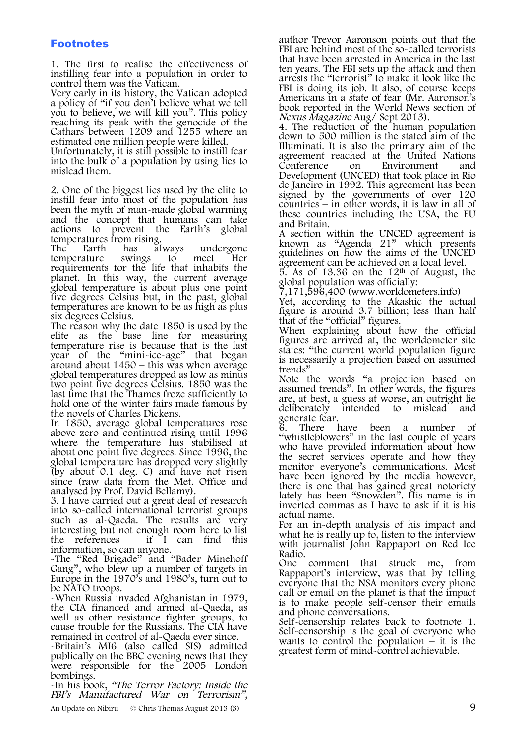### Footnotes

1. The first to realise the effectiveness of instilling fear into a population in order to control them was the Vatican.

Very early in its history, the Vatican adopted a policy of "if you don't believe what we tell you to believe, we will kill you". This policy reaching its peak with the genocide of the Cathars between 1209 and 1255 where an estimated one million people were killed.

Unfortunately, it is still possible to instill fear into the bulk of a population by using lies to mislead them.

2. One of the biggest lies used by the elite to instill fear into most of the population has been the myth of man-made global warming and the concept that humans can take actions to prevent the Earth's global temperatures from rising.<br>The Earth has always

has always undergone<br>swings to meet Her temperature requirements for the life that inhabits the planet. In this way, the current average global temperature is about plus one point five degrees Celsius but, in the past, global temperatures are known to be as high as plus

six degrees Celsius. The reason why the date 1850 is used by the temperature rise is because that is the last year of the "mini-ice-age" that began around about 1450 – this was when average global temperatures dropped as low as minus two point five degrees Celsius. 1850 was the last time that the Thames froze sufficiently to hold one of the winter fairs made famous by the novels of Charles Dickens.

In 1850, average global temperatures rose above zero and continued rising until 1996 where the temperature has stabilised at about one point five degrees. Since 1996, the global temperature has dropped very slightly (by about 0.1 deg. C) and have not risen since (raw data from the Met. Office and analysed by Prof. David Bellamy).

3. I have carried out a great deal of research into so-called international terrorist groups such as al-Qaeda. The results are very interesting but not enough room here to list the references – if I can find this information, so can anyone.

-The "Red Brigade" and "Bader Minehoff Gang", who blew up a number of targets in Europe in the 1970's and 1980's, turn out to be NATO troops.

-When Russia invaded Afghanistan in 1979, the CIA financed and armed al-Qaeda, as well as other resistance fighter groups, to cause trouble for the Russians. The CIA have

-Britain's MI6 (also called SIS) admitted. publically on the BBC evening news that they were responsible for the 2005 London bombings.

-In his book, "The Terror Factory: Inside the FBI's Manufactured War on Terrorism",

An Update on Nibiru © Chris Thomas August 2013 (3) 9

author Trevor Aaronson points out that the FBI are behind most of the so-called terrorists that have been arrested in America in the last ten years. The FBI sets up the attack and then arrests the "terrorist" to make it look like the FBI is doing its job. It also, of course keeps Americans in a state of fear (Mr. Aaronson's book reported in the World News section of Nexus Magazine Aug/ Sept 2013). 4. The reduction of the human population

down to 500 million is the stated aim of the Illuminati. It is also the primary aim of the agreement reached at the United Nations<br>Conference on Environment and on Environment and Development (UNCED) that took place in Rio de Janeiro in 1992. This agreement has been signed by the governments of over 120 countries – in other words, it is law in all of these countries including the USA, the EU and Britain.

A section within the UNCED agreement is known as "Agenda 21" which presents guidelines on how the aims of the UNCED agreement can be achieved on a local level.

 $5.$  As of 13.36 on the 12<sup>th</sup> of August, the global population was officially:

7,171,596,400 (www.worldometers.info)

Yet, according to the Akashic the actual figure is around 3.7 billion; less than half that of the "official" figures.

When explaining about how the official figures are arrived at, the worldometer site states: "the current world population figure is necessarily a projection based on assumed trends".

Note the words "a projection based on assumed trends". In other words, the figures are, at best, a guess at worse, an outright lie deliberately intended to mislead and

generate fear.<br>6. There 1 There have been a number of "whistleblowers" in the last couple of years who have provided information about how the secret services operate and how they monitor everyone's communications. Most have been ignored by the media however, there is one that has gained great notoriety lately has been "Snowden". His name is in inverted commas as I have to ask if it is his actual name.

For an in-depth analysis of his impact and what he is really up to, listen to the interview with journalist John Rappaport on Red Ice Radio.

One comment that struck me, from Rappaport's interview, was that by telling everyone that the NSA monitors every phone call or email on the planet is that the impact is to make people self-censor their emails and phone conversations.

Self-censorship relates back to footnote 1. Self-censorship is the goal of everyone who wants to control the population  $\check{-}$  it is the greatest form of mind-control achievable.